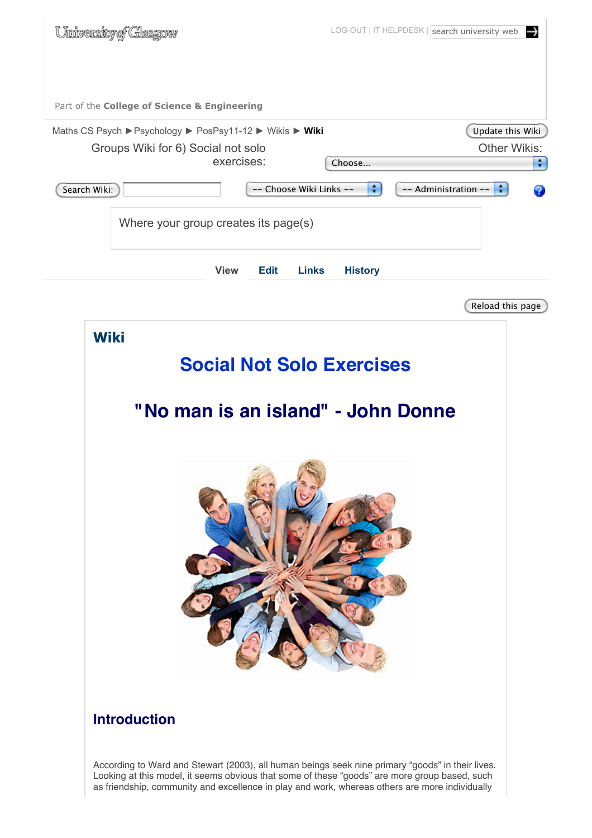| University of Glasgow                                                                                        | LOG-OUT   IT HELPDESK   search university web<br>↔          |
|--------------------------------------------------------------------------------------------------------------|-------------------------------------------------------------|
| Part of the College of Science & Engineering                                                                 |                                                             |
| Maths CS Psych ▶ Psychology ▶ PosPsy11-12 ▶ Wikis ▶ Wiki<br>Groups Wiki for 6) Social not solo<br>exercises: | Update this Wiki<br><b>Other Wikis:</b><br>$\div$<br>Choose |
| -- Choose Wiki Links --<br>Search Wiki:                                                                      | $\div$<br>÷<br>-- Administration --<br>2                    |
| Where your group creates its page(s)                                                                         |                                                             |
| <b>View</b><br><b>Edit</b><br><b>Links</b>                                                                   | <b>History</b>                                              |
|                                                                                                              | Reload this page                                            |
| <b>Social Not Solo Exercises</b><br>"No man is an island" - John Donne                                       |                                                             |
| <b>Introduction</b>                                                                                          |                                                             |
| According to Ward and Stowart (2003), all buman boings sook nine primary "goods" in their lives              |                                                             |

According to Ward and Stewart (2003), all human beings seek nine primary "goods" in their lives. Looking at this model, it seems obvious that some of these "goods" are more group based, such as friendship, community and excellence in play and work, whereas others are more individually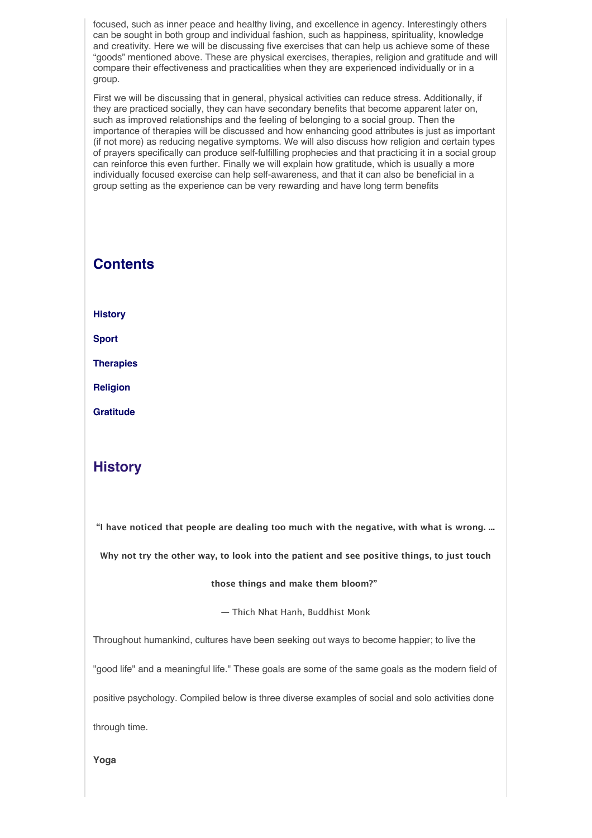focused, such as inner peace and healthy living, and excellence in agency. Interestingly others can be sought in both group and individual fashion, such as happiness, spirituality, knowledge and creativity. Here we will be discussing five exercises that can help us achieve some of these "goods" mentioned above. These are physical exercises, therapies, religion and gratitude and will compare their effectiveness and practicalities when they are experienced individually or in a group.

First we will be discussing that in general, physical activities can reduce stress. Additionally, if they are practiced socially, they can have secondary benefits that become apparent later on, such as improved relationships and the feeling of belonging to a social group. Then the importance of therapies will be discussed and how enhancing good attributes is just as important (if not more) as reducing negative symptoms. We will also discuss how religion and certain types of prayers specifically can produce self-fulfilling prophecies and that practicing it in a social group can reinforce this even further. Finally we will explain how gratitude, which is usually a more individually focused exercise can help self-awareness, and that it can also be beneficial in a group setting as the experience can be very rewarding and have long term benefits

# **Contents**

**History**

**Sport**

**Therapies**

**Religion**

**Gratitude**

# **History**

**"I have noticed that people are dealing too much with the negative, with what is wrong. ...**

**Why not try the other way, to look into the patient and see positive things, to just touch**

### **those things and make them bloom?"**

― Thich Nhat Hanh, Buddhist Monk

Throughout humankind, cultures have been seeking out ways to become happier; to live the

"good life" and a meaningful life." These goals are some of the same goals as the modern field of

positive psychology. Compiled below is three diverse examples of social and solo activities done

through time.

**Yoga**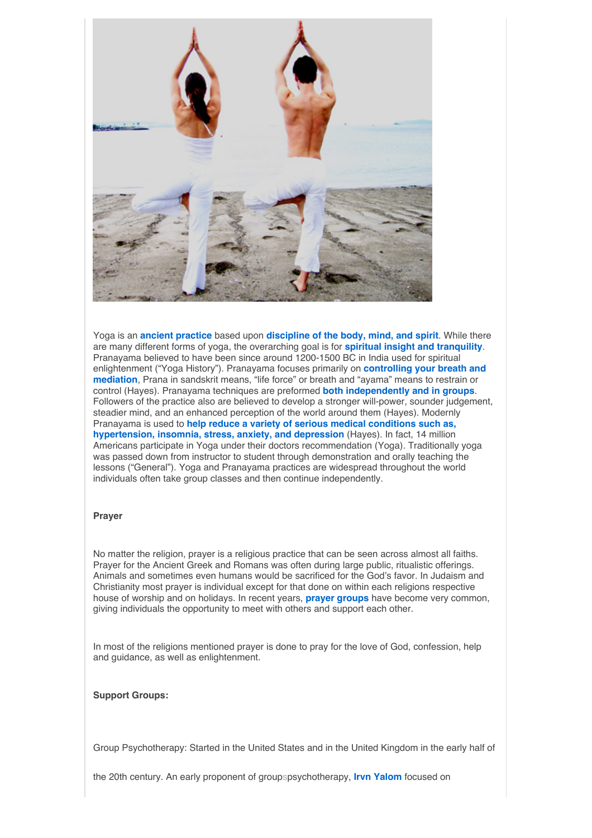

Yoga is an **ancient practice** based upon **discipline of the body, mind, and spirit**. While there are many different forms of yoga, the overarching goal is for **spiritual insight and tranquility**. Pranayama believed to have been since around 1200-1500 BC in India used for spiritual enlightenment ("Yoga History"). Pranayama focuses primarily on **controlling your breath and mediation**, Prana in sandskrit means, "life force" or breath and "ayama" means to restrain or control (Hayes). Pranayama techniques are preformed **both independently and in groups**. Followers of the practice also are believed to develop a stronger will-power, sounder judgement, steadier mind, and an enhanced perception of the world around them (Hayes). Modernly Pranayama is used to **help reduce a variety of serious medical conditions such as, hypertension, insomnia, stress, anxiety, and depression** (Hayes). In fact, 14 million Americans participate in Yoga under their doctors recommendation (Yoga). Traditionally yoga was passed down from instructor to student through demonstration and orally teaching the lessons ("General"). Yoga and Pranayama practices are widespread throughout the world individuals often take group classes and then continue independently.

### **Prayer**

No matter the religion, prayer is a religious practice that can be seen across almost all faiths. Prayer for the Ancient Greek and Romans was often during large public, ritualistic offerings. Animals and sometimes even humans would be sacrificed for the God's favor. In Judaism and Christianity most prayer is individual except for that done on within each religions respective house of worship and on holidays. In recent years, **prayer groups** have become very common, giving individuals the opportunity to meet with others and support each other.

In most of the religions mentioned prayer is done to pray for the love of God, confession, help and guidance, as well as enlightenment.

### **Support Groups:**

Group Psychotherapy: Started in the United States and in the United Kingdom in the early half of

the 20th century. An early proponent of groupspsychotherapy, **Irvn Yalom** focused on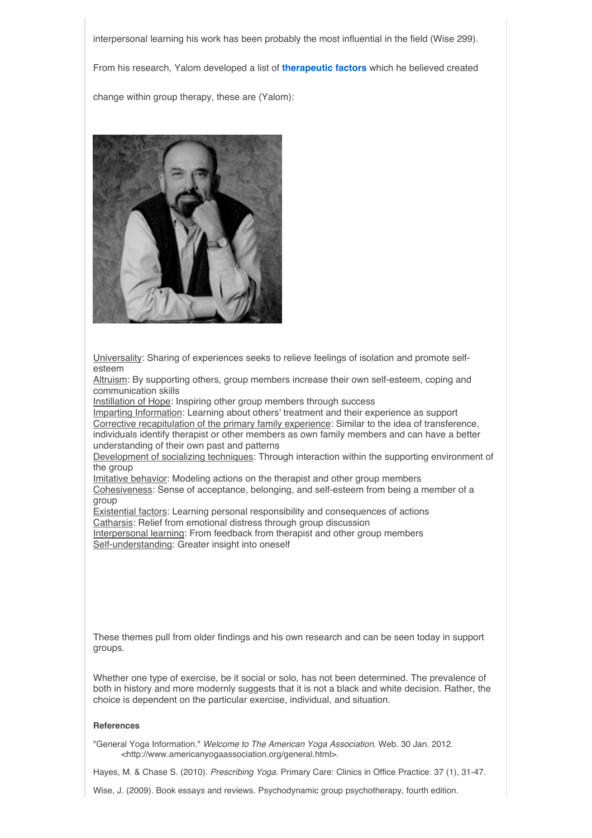interpersonal learning his work has been probably the most influential in the field (Wise 299).

From his research, Yalom developed a list of **therapeutic factors** which he believed created

change within group therapy, these are (Yalom):



Universality: Sharing of experiences seeks to relieve feelings of isolation and promote selfesteem

Altruism: By supporting others, group members increase their own self-esteem, coping and communication skills

Instillation of Hope: Inspiring other group members through success

Imparting Information: Learning about others' treatment and their experience as support Corrective recapitulation of the primary family experience: Similar to the idea of transference, individuals identify therapist or other members as own family members and can have a better understanding of their own past and patterns

Development of socializing techniques: Through interaction within the supporting environment of the group

Imitative behavior: Modeling actions on the therapist and other group members

Cohesiveness: Sense of acceptance, belonging, and self-esteem from being a member of a group

Existential factors: Learning personal responsibility and consequences of actions Catharsis: Relief from emotional distress through group discussion

Interpersonal learning: From feedback from therapist and other group members Self-understanding: Greater insight into oneself

These themes pull from older findings and his own research and can be seen today in support groups.

Whether one type of exercise, be it social or solo, has not been determined. The prevalence of both in history and more modernly suggests that it is not a black and white decision. Rather, the choice is dependent on the particular exercise, individual, and situation.

### **References**

"General Yoga Information." *Welcome to The American Yoga Association*. Web. 30 Jan. 2012. <http://www.americanyogaassociation.org/general.html>.

Hayes, M. & Chase S. (2010). *Prescribing Yoga*. Primary Care: Clinics in Office Practice. 37 (1), 31-47.

Wise, J. (2009). Book essays and reviews. Psychodynamic group psychotherapy, fourth edition.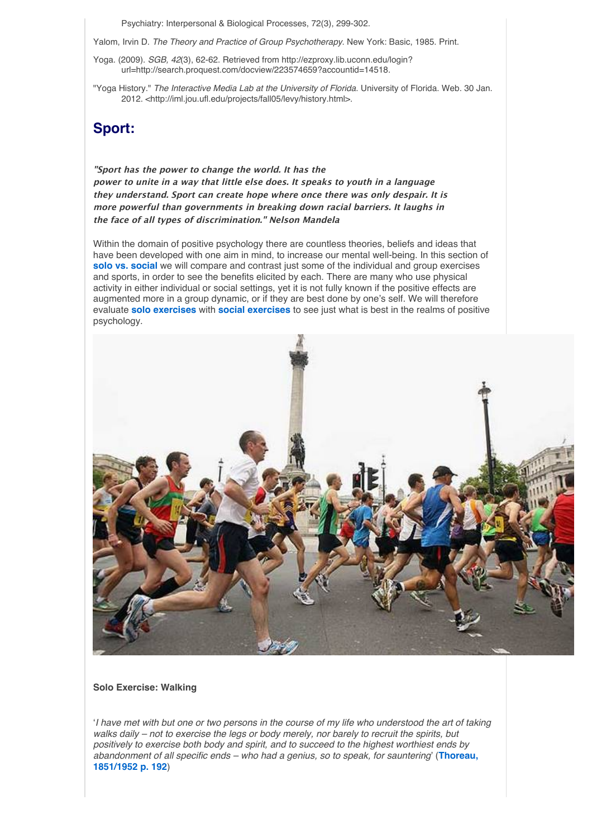Psychiatry: Interpersonal & Biological Processes, 72(3), 299-302.

Yalom, Irvin D. *The Theory and Practice of Group Psychotherapy*. New York: Basic, 1985. Print.

- Yoga. (2009). *SGB, 42*(3), 62-62. Retrieved from http://ezproxy.lib.uconn.edu/login? url=http://search.proquest.com/docview/223574659?accountid=14518.
- "Yoga History." *The Interactive Media Lab at the University of Florida*. University of Florida. Web. 30 Jan. 2012. <http://iml.jou.ufl.edu/projects/fall05/levy/history.html>.

# **Sport:**

**"Sport has the power to change the world. It has the power to unite in a way that little else does. It speaks to youth in a language they understand. Sport can create hope where once there was only despair. It is more powerful than governments in breaking down racial barriers. It laughs in the face of all types of discrimination." Nelson Mandela**

Within the domain of positive psychology there are countless theories, beliefs and ideas that have been developed with one aim in mind, to increase our mental well-being. In this section of **solo vs. social** we will compare and contrast just some of the individual and group exercises and sports, in order to see the benefits elicited by each. There are many who use physical activity in either individual or social settings, yet it is not fully known if the positive effects are augmented more in a group dynamic, or if they are best done by one's self. We will therefore evaluate **solo exercises** with **social exercises** to see just what is best in the realms of positive psychology.



**Solo Exercise: Walking** 

ʻ*I have met with but one or two persons in the course of my life who understood the art of taking walks daily – not to exercise the legs or body merely, nor barely to recruit the spirits, but positively to exercise both body and spirit, and to succeed to the highest worthiest ends by abandonment of all specific ends – who had a genius, so to speak, for sauntering*' (**Thoreau, 1851/1952 p. 192**)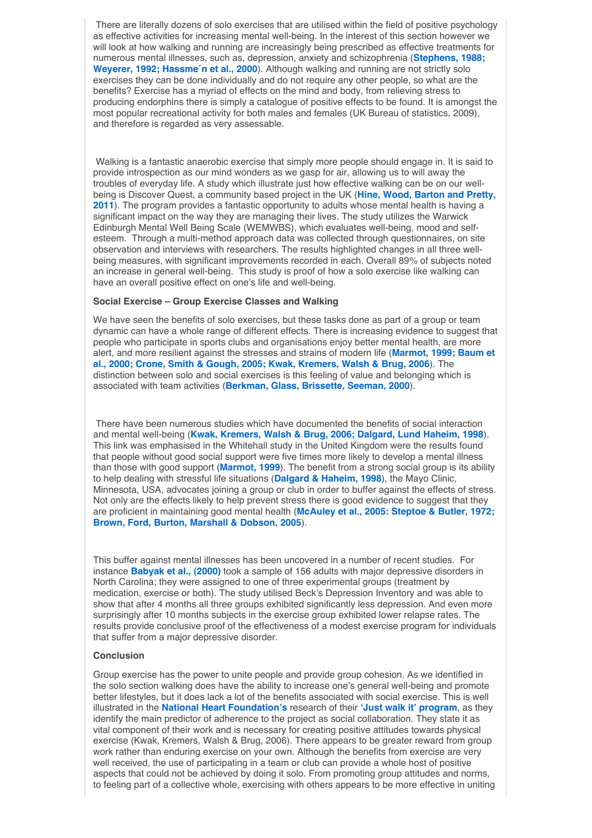There are literally dozens of solo exercises that are utilised within the field of positive psychology as effective activities for increasing mental well-being. In the interest of this section however we will look at how walking and running are increasingly being prescribed as effective treatments for numerous mental illnesses, such as, depression, anxiety and schizophrenia (**Stephens, 1988; Weyerer, 1992; Hassme´n et al., 2000**). Although walking and running are not strictly solo exercises they can be done individually and do not require any other people, so what are the benefits? Exercise has a myriad of effects on the mind and body, from relieving stress to producing endorphins there is simply a catalogue of positive effects to be found. It is amongst the most popular recreational activity for both males and females (UK Bureau of statistics, 2009), and therefore is regarded as very assessable.

Walking is a fantastic anaerobic exercise that simply more people should engage in. It is said to provide introspection as our mind wonders as we gasp for air, allowing us to will away the troubles of everyday life. A study which illustrate just how effective walking can be on our wellbeing is Discover Quest, a community based project in the UK (**Hine, Wood, Barton and Pretty, 2011**). The program provides a fantastic opportunity to adults whose mental health is having a significant impact on the way they are managing their lives. The study utilizes the Warwick Edinburgh Mental Well Being Scale (WEMWBS), which evaluates well-being, mood and selfesteem. Through a multi-method approach data was collected through questionnaires, on site observation and interviews with researchers. The results highlighted changes in all three wellbeing measures, with significant improvements recorded in each. Overall 89% of subjects noted an increase in general well-being. This study is proof of how a solo exercise like walking can have an overall positive effect on one's life and well-being.

### **Social Exercise – Group Exercise Classes and Walking**

We have seen the benefits of solo exercises, but these tasks done as part of a group or team dynamic can have a whole range of different effects. There is increasing evidence to suggest that people who participate in sports clubs and organisations enjoy better mental health, are more alert, and more resilient against the stresses and strains of modern life (**Marmot, 1999; Baum et al., 2000; Crone, Smith & Gough, 2005; Kwak, Kremers, Walsh & Brug, 2006**). The distinction between solo and social exercises is this feeling of value and belonging which is associated with team activities (**Berkman, Glass, Brissette, Seeman, 2000**).

There have been numerous studies which have documented the benefits of social interaction and mental well-being (**Kwak, Kremers, Walsh & Brug, 2006; Dalgard, Lund Haheim, 1998**). This link was emphasised in the Whitehall study in the United Kingdom were the results found that people without good social support were five times more likely to develop a mental illness than those with good support (**Marmot, 1999**). The benefit from a strong social group is its ability to help dealing with stressful life situations (**Dalgard & Haheim, 1998**), the Mayo Clinic, Minnesota, USA, advocates joining a group or club in order to buffer against the effects of stress. Not only are the effects likely to help prevent stress there is good evidence to suggest that they are proficient in maintaining good mental health (**McAuley et al., 2005: Steptoe & Butler, 1972; Brown, Ford, Burton, Marshall & Dobson, 2005**).

This buffer against mental illnesses has been uncovered in a number of recent studies. For instance **Babyak et al., (2000)** took a sample of 156 adults with major depressive disorders in North Carolina; they were assigned to one of three experimental groups (treatment by medication, exercise or both). The study utilised Beck's Depression Inventory and was able to show that after 4 months all three groups exhibited significantly less depression. And even more surprisingly after 10 months subjects in the exercise group exhibited lower relapse rates. The results provide conclusive proof of the effectiveness of a modest exercise program for individuals that suffer from a major depressive disorder.

### **Conclusion**

Group exercise has the power to unite people and provide group cohesion. As we identified in the solo section walking does have the ability to increase one's general well-being and promote better lifestyles, but it does lack a lot of the benefits associated with social exercise. This is well illustrated in the **National Heart Foundation's** research of their **ʻJust walk it' program**, as they identify the main predictor of adherence to the project as social collaboration. They state it as vital component of their work and is necessary for creating positive attitudes towards physical exercise (Kwak, Kremers, Walsh & Brug, 2006). There appears to be greater reward from group work rather than enduring exercise on your own. Although the benefits from exercise are very well received, the use of participating in a team or club can provide a whole host of positive aspects that could not be achieved by doing it solo. From promoting group attitudes and norms, to feeling part of a collective whole, exercising with others appears to be more effective in uniting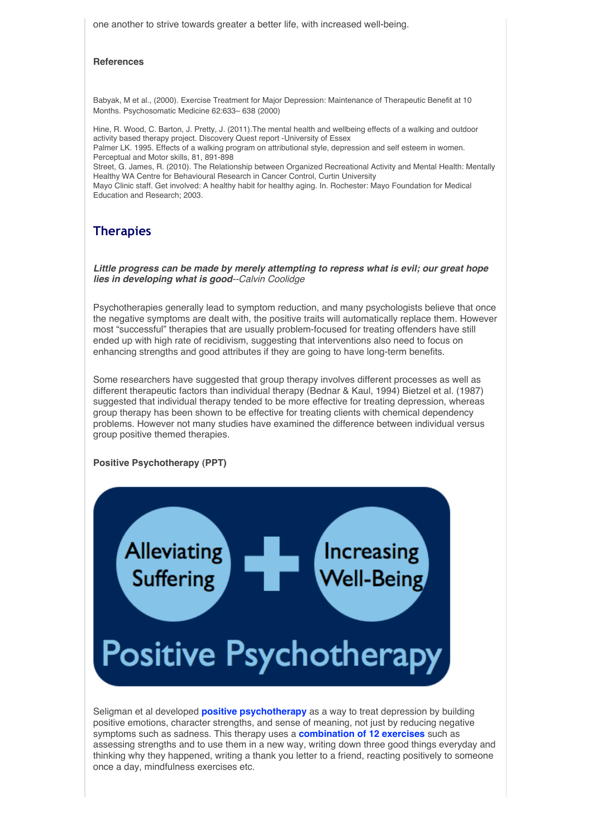one another to strive towards greater a better life, with increased well-being.

### **References**

Babyak, M et al., (2000). Exercise Treatment for Major Depression: Maintenance of Therapeutic Benefit at 10 Months. Psychosomatic Medicine 62:633– 638 (2000)

Hine, R. Wood, C. Barton, J. Pretty, J. (2011).The mental health and wellbeing effects of a walking and outdoor activity based therapy project. Discovery Quest report -University of Essex Palmer LK. 1995. Effects of a walking program on attributional style, depression and self esteem in women. Perceptual and Motor skills, 81, 891-898 Street, G. James, R. (2010). The Relationship between Organized Recreational Activity and Mental Health: Mentally Healthy WA Centre for Behavioural Research in Cancer Control, Curtin University Mayo Clinic staff. Get involved: A healthy habit for healthy aging. In. Rochester: Mayo Foundation for Medical Education and Research; 2003.

### **Therapies**

*Little progress can be made by merely attempting to repress what is evil; our great hope lies in developing what is good--Calvin Coolidge*

Psychotherapies generally lead to symptom reduction, and many psychologists believe that once the negative symptoms are dealt with, the positive traits will automatically replace them. However most "successful" therapies that are usually problem-focused for treating offenders have still ended up with high rate of recidivism, suggesting that interventions also need to focus on enhancing strengths and good attributes if they are going to have long-term benefits.

Some researchers have suggested that group therapy involves different processes as well as different therapeutic factors than individual therapy (Bednar & Kaul, 1994) Bietzel et al. (1987) suggested that individual therapy tended to be more effective for treating depression, whereas group therapy has been shown to be effective for treating clients with chemical dependency problems. However not many studies have examined the difference between individual versus group positive themed therapies.

### **Positive Psychotherapy (PPT)**



Seligman et al developed **positive psychotherapy** as a way to treat depression by building positive emotions, character strengths, and sense of meaning, not just by reducing negative symptoms such as sadness. This therapy uses a **combination of 12 exercises** such as assessing strengths and to use them in a new way, writing down three good things everyday and thinking why they happened, writing a thank you letter to a friend, reacting positively to someone once a day, mindfulness exercises etc.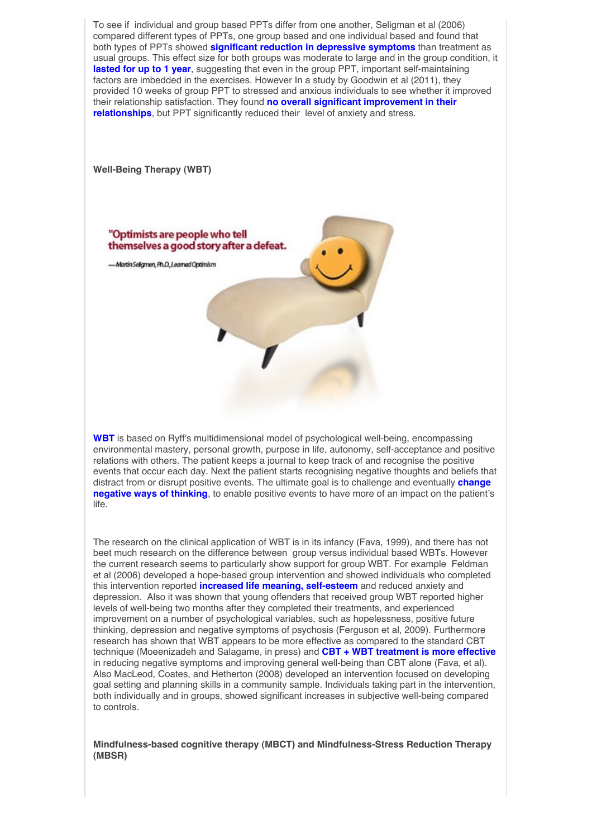

The research on the clinical application of WBT is in its infancy (Fava, 1999), and there has not beet much research on the difference between group versus individual based WBTs. However the current research seems to particularly show support for group WBT. For example Feldman et al (2006) developed a hope-based group intervention and showed individuals who completed this intervention reported **increased life meaning, self-esteem** and reduced anxiety and depression. Also it was shown that young offenders that received group WBT reported higher levels of well-being two months after they completed their treatments, and experienced improvement on a number of psychological variables, such as hopelessness, positive future thinking, depression and negative symptoms of psychosis (Ferguson et al, 2009). Furthermore research has shown that WBT appears to be more effective as compared to the standard CBT technique (Moeenizadeh and Salagame, in press) and **CBT + WBT treatment is more effective** in reducing negative symptoms and improving general well-being than CBT alone (Fava, et al). Also MacLeod, Coates, and Hetherton (2008) developed an intervention focused on developing goal setting and planning skills in a community sample. Individuals taking part in the intervention, both individually and in groups, showed significant increases in subjective well-being compared to controls.

**Mindfulness-based cognitive therapy (MBCT) and Mindfulness-Stress Reduction Therapy (MBSR)**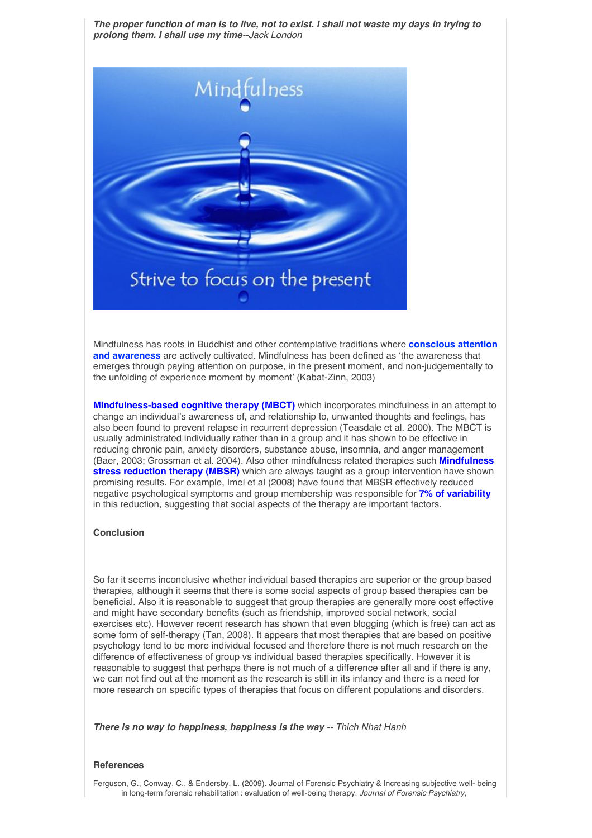*The proper function of man is to live, not to exist. I shall not waste my days in trying to prolong them. I shall use my time--Jack London*



Mindfulness has roots in Buddhist and other contemplative traditions where **conscious attention and awareness** are actively cultivated. Mindfulness has been defined as ʻthe awareness that emerges through paying attention on purpose, in the present moment, and non-judgementally to the unfolding of experience moment by moment' (Kabat-Zinn, 2003)

**Mindfulness-based cognitive therapy (MBCT)** which incorporates mindfulness in an attempt to change an individual's awareness of, and relationship to, unwanted thoughts and feelings, has also been found to prevent relapse in recurrent depression (Teasdale et al. 2000). The MBCT is usually administrated individually rather than in a group and it has shown to be effective in reducing chronic pain, anxiety disorders, substance abuse, insomnia, and anger management (Baer, 2003; Grossman et al. 2004). Also other mindfulness related therapies such **Mindfulness stress reduction therapy (MBSR)** which are always taught as a group intervention have shown promising results. For example, Imel et al (2008) have found that MBSR effectively reduced negative psychological symptoms and group membership was responsible for **7% of variability** in this reduction, suggesting that social aspects of the therapy are important factors.

### **Conclusion**

So far it seems inconclusive whether individual based therapies are superior or the group based therapies, although it seems that there is some social aspects of group based therapies can be beneficial. Also it is reasonable to suggest that group therapies are generally more cost effective and might have secondary benefits (such as friendship, improved social network, social exercises etc). However recent research has shown that even blogging (which is free) can act as some form of self-therapy (Tan, 2008). It appears that most therapies that are based on positive psychology tend to be more individual focused and therefore there is not much research on the difference of effectiveness of group vs individual based therapies specifically. However it is reasonable to suggest that perhaps there is not much of a difference after all and if there is any, we can not find out at the moment as the research is still in its infancy and there is a need for more research on specific types of therapies that focus on different populations and disorders.

*There is no way to happiness, happiness is the way -- Thich Nhat Hanh*

### **References**

Ferguson, G., Conway, C., & Endersby, L. (2009). Journal of Forensic Psychiatry & Increasing subjective well- being in long-term forensic rehabilitation : evaluation of well-being therapy. *Journal of Forensic Psychiatry*,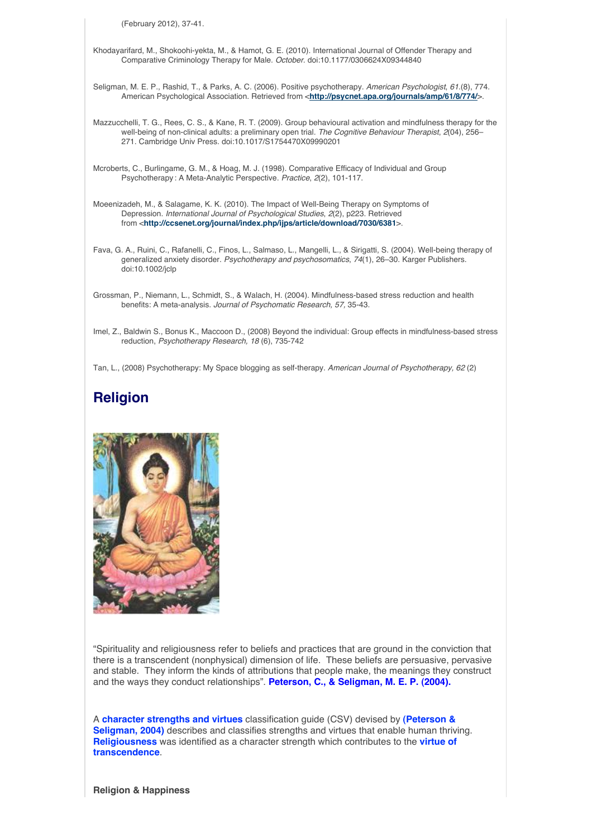(February 2012), 37-41.

Khodayarifard, M., Shokoohi-yekta, M., & Hamot, G. E. (2010). International Journal of Offender Therapy and Comparative Criminology Therapy for Male. *October*. doi:10.1177/0306624X09344840

- Seligman, M. E. P., Rashid, T., & Parks, A. C. (2006). Positive psychotherapy. *American Psychologist*, *61*.(8), 774. American Psychological Association. Retrieved from <**http://psycnet.apa.org/journals/amp/61/8/774/**>.
- Mazzucchelli, T. G., Rees, C. S., & Kane, R. T. (2009). Group behavioural activation and mindfulness therapy for the well-being of non-clinical adults: a preliminary open trial. *The Cognitive Behaviour Therapist*, *2*(04), 256– 271. Cambridge Univ Press. doi:10.1017/S1754470X09990201
- Mcroberts, C., Burlingame, G. M., & Hoag, M. J. (1998). Comparative Efficacy of Individual and Group Psychotherapy : A Meta-Analytic Perspective. *Practice*, *2*(2), 101-117.
- Moeenizadeh, M., & Salagame, K. K. (2010). The Impact of Well-Being Therapy on Symptoms of Depression. *International Journal of Psychological Studies*, *2*(2), p223. Retrieved from <**http://ccsenet.org/journal/index.php/ijps/article/download/7030/6381**>.
- Fava, G. A., Ruini, C., Rafanelli, C., Finos, L., Salmaso, L., Mangelli, L., & Sirigatti, S. (2004). Well-being therapy of generalized anxiety disorder. *Psychotherapy and psychosomatics*, *74*(1), 26–30. Karger Publishers. doi:10.1002/jclp
- Grossman, P., Niemann, L., Schmidt, S., & Walach, H. (2004). Mindfulness-based stress reduction and health benefits: A meta-analysis. *Journal of Psychomatic Research, 57,* 35-43.
- Imel, Z., Baldwin S., Bonus K., Maccoon D., (2008) Beyond the individual: Group effects in mindfulness-based stress reduction, *Psychotherapy Research, 18* (6), 735-742

Tan, L., (2008) Psychotherapy: My Space blogging as self-therapy. *American Journal of Psychotherapy, 62* (2)

# **Religion**



"Spirituality and religiousness refer to beliefs and practices that are ground in the conviction that there is a transcendent (nonphysical) dimension of life. These beliefs are persuasive, pervasive and stable. They inform the kinds of attributions that people make, the meanings they construct and the ways they conduct relationships". **Peterson, C., & Seligman, M. E. P. (2004).**

A **character strengths and virtues** classification guide (CSV) devised by **(Peterson & Seligman, 2004)** describes and classifies strengths and virtues that enable human thriving. **Religiousness** was identified as a character strength which contributes to the **virtue of transcendence**.

**Religion & Happiness**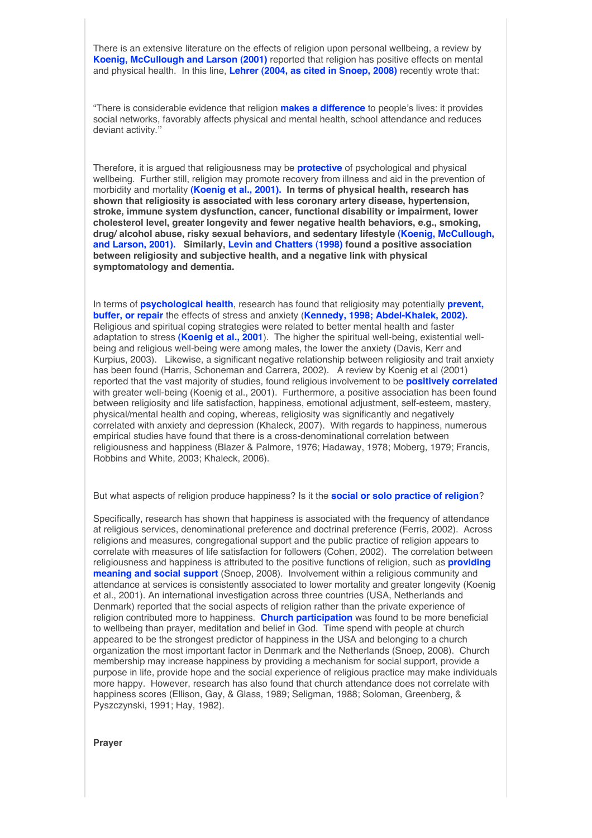There is an extensive literature on the effects of religion upon personal wellbeing, a review by **Koenig, McCullough and Larson (2001)** reported that religion has positive effects on mental and physical health. In this line, **Lehrer (2004, as cited in Snoep, 2008)** recently wrote that:

"There is considerable evidence that religion **makes a difference** to people's lives: it provides social networks, favorably affects physical and mental health, school attendance and reduces deviant activity.''

Therefore, it is argued that religiousness may be **protective** of psychological and physical wellbeing. Further still, religion may promote recovery from illness and aid in the prevention of morbidity and mortality **(Koenig et al., 2001). In terms of physical health, research has shown that religiosity is associated with less coronary artery disease, hypertension, stroke, immune system dysfunction, cancer, functional disability or impairment, lower cholesterol level, greater longevity and fewer negative health behaviors, e.g., smoking, drug/ alcohol abuse, risky sexual behaviors, and sedentary lifestyle (Koenig, McCullough, and Larson, 2001). Similarly, Levin and Chatters (1998) found a positive association between religiosity and subjective health, and a negative link with physical symptomatology and dementia.** 

In terms of **psychological health**, research has found that religiosity may potentially **prevent, buffer, or repair** the effects of stress and anxiety (**Kennedy, 1998; Abdel-Khalek, 2002).**  Religious and spiritual coping strategies were related to better mental health and faster adaptation to stress **(Koenig et al., 2001**). The higher the spiritual well-being, existential wellbeing and religious well-being were among males, the lower the anxiety (Davis, Kerr and Kurpius, 2003). Likewise, a significant negative relationship between religiosity and trait anxiety has been found (Harris, Schoneman and Carrera, 2002). A review by Koenig et al (2001) reported that the vast majority of studies, found religious involvement to be **positively correlated** with greater well-being (Koenig et al., 2001). Furthermore, a positive association has been found between religiosity and life satisfaction, happiness, emotional adjustment, self-esteem, mastery, physical/mental health and coping, whereas, religiosity was significantly and negatively correlated with anxiety and depression (Khaleck, 2007). With regards to happiness, numerous empirical studies have found that there is a cross-denominational correlation between religiousness and happiness (Blazer & Palmore, 1976; Hadaway, 1978; Moberg, 1979; Francis, Robbins and White, 2003; Khaleck, 2006).

But what aspects of religion produce happiness? Is it the **social or solo practice of religion**?

Specifically, research has shown that happiness is associated with the frequency of attendance at religious services, denominational preference and doctrinal preference (Ferris, 2002). Across religions and measures, congregational support and the public practice of religion appears to correlate with measures of life satisfaction for followers (Cohen, 2002). The correlation between religiousness and happiness is attributed to the positive functions of religion, such as **providing meaning and social support** (Snoep, 2008). Involvement within a religious community and attendance at services is consistently associated to lower mortality and greater longevity (Koenig et al., 2001). An international investigation across three countries (USA, Netherlands and Denmark) reported that the social aspects of religion rather than the private experience of religion contributed more to happiness. **Church participation** was found to be more beneficial to wellbeing than prayer, meditation and belief in God. Time spend with people at church appeared to be the strongest predictor of happiness in the USA and belonging to a church organization the most important factor in Denmark and the Netherlands (Snoep, 2008). Church membership may increase happiness by providing a mechanism for social support, provide a purpose in life, provide hope and the social experience of religious practice may make individuals more happy. However, research has also found that church attendance does not correlate with happiness scores (Ellison, Gay, & Glass, 1989; Seligman, 1988; Soloman, Greenberg, & Pyszczynski, 1991; Hay, 1982).

**Prayer**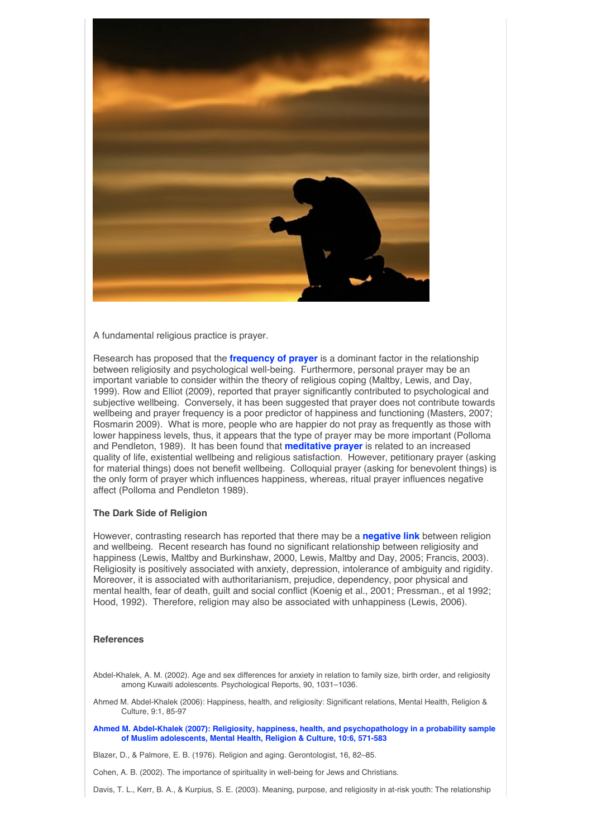

A fundamental religious practice is prayer.

Research has proposed that the **frequency of prayer** is a dominant factor in the relationship between religiosity and psychological well-being. Furthermore, personal prayer may be an important variable to consider within the theory of religious coping (Maltby, Lewis, and Day, 1999). Row and Elliot (2009), reported that prayer significantly contributed to psychological and subjective wellbeing. Conversely, it has been suggested that prayer does not contribute towards wellbeing and prayer frequency is a poor predictor of happiness and functioning (Masters, 2007; Rosmarin 2009). What is more, people who are happier do not pray as frequently as those with lower happiness levels, thus, it appears that the type of prayer may be more important (Polloma and Pendleton, 1989). It has been found that **meditative prayer** is related to an increased quality of life, existential wellbeing and religious satisfaction. However, petitionary prayer (asking for material things) does not benefit wellbeing. Colloquial prayer (asking for benevolent things) is the only form of prayer which influences happiness, whereas, ritual prayer influences negative affect (Polloma and Pendleton 1989).

#### **The Dark Side of Religion**

However, contrasting research has reported that there may be a **negative link** between religion and wellbeing. Recent research has found no significant relationship between religiosity and happiness (Lewis, Maltby and Burkinshaw, 2000, Lewis, Maltby and Day, 2005; Francis, 2003). Religiosity is positively associated with anxiety, depression, intolerance of ambiguity and rigidity. Moreover, it is associated with authoritarianism, prejudice, dependency, poor physical and mental health, fear of death, guilt and social conflict (Koenig et al., 2001; Pressman., et al 1992; Hood, 1992). Therefore, religion may also be associated with unhappiness (Lewis, 2006).

### **References**

- Abdel-Khalek, A. M. (2002). Age and sex differences for anxiety in relation to family size, birth order, and religiosity among Kuwaiti adolescents. Psychological Reports, 90, 1031–1036.
- Ahmed M. Abdel-Khalek (2006): Happiness, health, and religiosity: Significant relations, Mental Health, Religion & Culture, 9:1, 85-97

**Ahmed M. Abdel-Khalek (2007): Religiosity, happiness, health, and psychopathology in a probability sample of Muslim adolescents, Mental Health, Religion & Culture, 10:6, 571-583**

Blazer, D., & Palmore, E. B. (1976). Religion and aging. Gerontologist, 16, 82–85.

Cohen, A. B. (2002). The importance of spirituality in well-being for Jews and Christians.

Davis, T. L., Kerr, B. A., & Kurpius, S. E. (2003). Meaning, purpose, and religiosity in at-risk youth: The relationship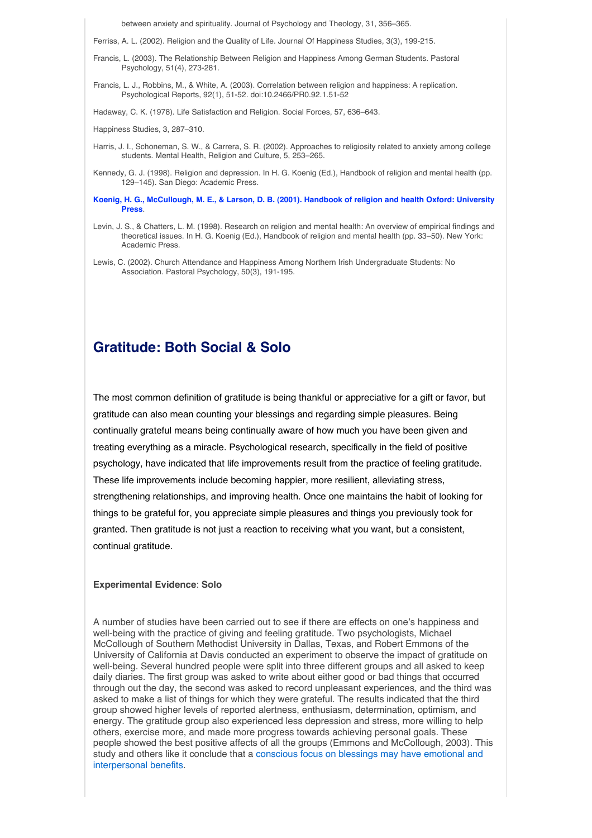between anxiety and spirituality. Journal of Psychology and Theology, 31, 356–365.

Ferriss, A. L. (2002). Religion and the Quality of Life. Journal Of Happiness Studies, 3(3), 199-215.

- Francis, L. (2003). The Relationship Between Religion and Happiness Among German Students. Pastoral Psychology, 51(4), 273-281.
- Francis, L. J., Robbins, M., & White, A. (2003). Correlation between religion and happiness: A replication. Psychological Reports, 92(1), 51-52. doi:10.2466/PR0.92.1.51-52

Hadaway, C. K. (1978). Life Satisfaction and Religion. Social Forces, 57, 636–643.

Happiness Studies, 3, 287–310.

- Harris, J. I., Schoneman, S. W., & Carrera, S. R. (2002). Approaches to religiosity related to anxiety among college students. Mental Health, Religion and Culture, 5, 253–265.
- Kennedy, G. J. (1998). Religion and depression. In H. G. Koenig (Ed.), Handbook of religion and mental health (pp. 129–145). San Diego: Academic Press.
- **Koenig, H. G., McCullough, M. E., & Larson, D. B. (2001). Handbook of religion and health Oxford: University Press**.
- Levin, J. S., & Chatters, L. M. (1998). Research on religion and mental health: An overview of empirical findings and theoretical issues. In H. G. Koenig (Ed.), Handbook of religion and mental health (pp. 33–50). New York: Academic Press.
- Lewis, C. (2002). Church Attendance and Happiness Among Northern Irish Undergraduate Students: No Association. Pastoral Psychology, 50(3), 191-195.

# **Gratitude: Both Social & Solo**

The most common definition of gratitude is being thankful or appreciative for a gift or favor, but gratitude can also mean counting your blessings and regarding simple pleasures. Being continually grateful means being continually aware of how much you have been given and treating everything as a miracle. Psychological research, specifically in the field of positive psychology, have indicated that life improvements result from the practice of feeling gratitude. These life improvements include becoming happier, more resilient, alleviating stress, strengthening relationships, and improving health. Once one maintains the habit of looking for things to be grateful for, you appreciate simple pleasures and things you previously took for granted. Then gratitude is not just a reaction to receiving what you want, but a consistent, continual gratitude.

### **Experimental Evidence**: **Solo**

A number of studies have been carried out to see if there are effects on one's happiness and well-being with the practice of giving and feeling gratitude. Two psychologists, Michael McCollough of Southern Methodist University in Dallas, Texas, and Robert Emmons of the University of California at Davis conducted an experiment to observe the impact of gratitude on well-being. Several hundred people were split into three different groups and all asked to keep daily diaries. The first group was asked to write about either good or bad things that occurred through out the day, the second was asked to record unpleasant experiences, and the third was asked to make a list of things for which they were grateful. The results indicated that the third group showed higher levels of reported alertness, enthusiasm, determination, optimism, and energy. The gratitude group also experienced less depression and stress, more willing to help others, exercise more, and made more progress towards achieving personal goals. These people showed the best positive affects of all the groups (Emmons and McCollough, 2003). This study and others like it conclude that a conscious focus on blessings may have emotional and interpersonal benefits.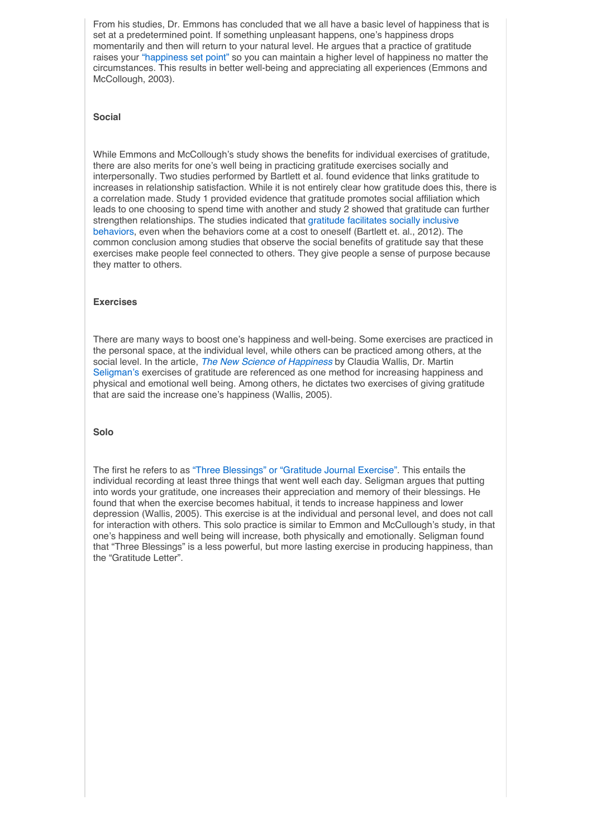From his studies, Dr. Emmons has concluded that we all have a basic level of happiness that is set at a predetermined point. If something unpleasant happens, one's happiness drops momentarily and then will return to your natural level. He argues that a practice of gratitude raises your "happiness set point" so you can maintain a higher level of happiness no matter the circumstances. This results in better well-being and appreciating all experiences (Emmons and McCollough, 2003).

### **Social**

While Emmons and McCollough's study shows the benefits for individual exercises of gratitude, there are also merits for one's well being in practicing gratitude exercises socially and interpersonally. Two studies performed by Bartlett et al. found evidence that links gratitude to increases in relationship satisfaction. While it is not entirely clear how gratitude does this, there is a correlation made. Study 1 provided evidence that gratitude promotes social affiliation which leads to one choosing to spend time with another and study 2 showed that gratitude can further strengthen relationships. The studies indicated that gratitude facilitates socially inclusive behaviors, even when the behaviors come at a cost to oneself (Bartlett et. al., 2012). The common conclusion among studies that observe the social benefits of gratitude say that these exercises make people feel connected to others. They give people a sense of purpose because they matter to others.

### **Exercises**

There are many ways to boost one's happiness and well-being. Some exercises are practiced in the personal space, at the individual level, while others can be practiced among others, at the social level. In the article, *The New Science of Happiness* by Claudia Wallis, Dr. Martin Seligman's exercises of gratitude are referenced as one method for increasing happiness and physical and emotional well being. Among others, he dictates two exercises of giving gratitude that are said the increase one's happiness (Wallis, 2005).

### **Solo**

The first he refers to as "Three Blessings" or "Gratitude Journal Exercise". This entails the individual recording at least three things that went well each day. Seligman argues that putting into words your gratitude, one increases their appreciation and memory of their blessings. He found that when the exercise becomes habitual, it tends to increase happiness and lower depression (Wallis, 2005). This exercise is at the individual and personal level, and does not call for interaction with others. This solo practice is similar to Emmon and McCullough's study, in that one's happiness and well being will increase, both physically and emotionally. Seligman found that "Three Blessings" is a less powerful, but more lasting exercise in producing happiness, than the "Gratitude Letter".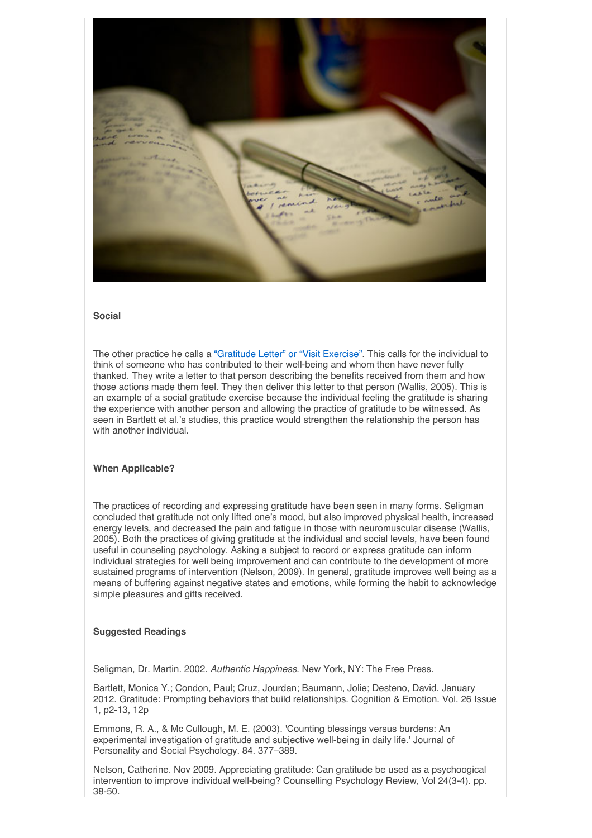

### **Social**

The other practice he calls a "Gratitude Letter" or "Visit Exercise". This calls for the individual to think of someone who has contributed to their well-being and whom then have never fully thanked. They write a letter to that person describing the benefits received from them and how those actions made them feel. They then deliver this letter to that person (Wallis, 2005). This is an example of a social gratitude exercise because the individual feeling the gratitude is sharing the experience with another person and allowing the practice of gratitude to be witnessed. As seen in Bartlett et al.'s studies, this practice would strengthen the relationship the person has with another individual.

### **When Applicable?**

The practices of recording and expressing gratitude have been seen in many forms. Seligman concluded that gratitude not only lifted one's mood, but also improved physical health, increased energy levels, and decreased the pain and fatigue in those with neuromuscular disease (Wallis, 2005). Both the practices of giving gratitude at the individual and social levels, have been found useful in counseling psychology. Asking a subject to record or express gratitude can inform individual strategies for well being improvement and can contribute to the development of more sustained programs of intervention (Nelson, 2009). In general, gratitude improves well being as a means of buffering against negative states and emotions, while forming the habit to acknowledge simple pleasures and gifts received.

### **Suggested Readings**

Seligman, Dr. Martin. 2002. *Authentic Happiness*. New York, NY: The Free Press.

Bartlett, Monica Y.; Condon, Paul; Cruz, Jourdan; Baumann, Jolie; Desteno, David. January 2012. Gratitude: Prompting behaviors that build relationships. Cognition & Emotion. Vol. 26 Issue 1, p2-13, 12p

Emmons, R. A., & Mc Cullough, M. E. (2003). 'Counting blessings versus burdens: An experimental investigation of gratitude and subjective well-being in daily life.' Journal of Personality and Social Psychology. 84. 377–389.

Nelson, Catherine. Nov 2009. Appreciating gratitude: Can gratitude be used as a psychoogical intervention to improve individual well-being? Counselling Psychology Review, Vol 24(3-4). pp. 38-50.